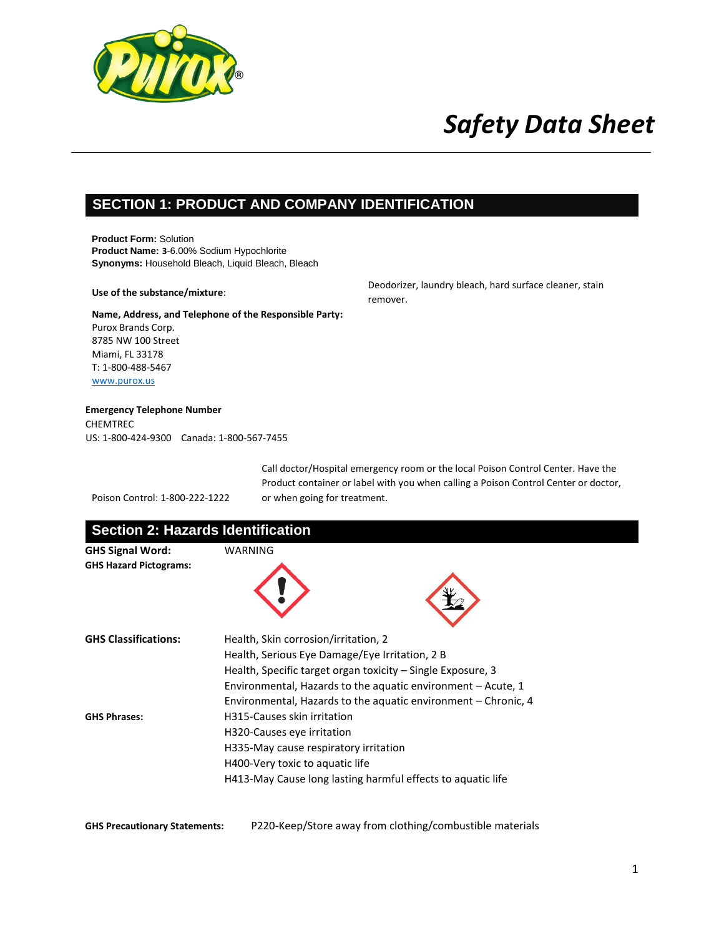

### **SECTION 1: PRODUCT AND COMPANY IDENTIFICATION**

**Product Form:** Solution **Product Name: 3**-6.00% Sodium Hypochlorite **Synonyms:** Household Bleach, Liquid Bleach, Bleach

#### **Use of the substance/mixture**:

**Name, Address, and Telephone of the Responsible Party:** Purox Brands Corp. 8785 NW 100 Street Miami, FL 33178 T: 1-800-488-5467 [www.purox.us](http://www.purox.us/)

Deodorizer, laundry bleach, hard surface cleaner, stain remover.

#### **Emergency Telephone Number**  CHEMTREC

US: 1-800-424-9300 Canada: 1-800-567-7455

|                                | Call doctor/Hospital emergency room or the local Poison Control Center. Have the    |  |
|--------------------------------|-------------------------------------------------------------------------------------|--|
|                                | Product container or label with you when calling a Poison Control Center or doctor, |  |
| Poison Control: 1-800-222-1222 | or when going for treatment.                                                        |  |

| <b>Section 2: Hazards Identification</b>                 |                                                                                                                                                                                                                                                                                         |  |  |
|----------------------------------------------------------|-----------------------------------------------------------------------------------------------------------------------------------------------------------------------------------------------------------------------------------------------------------------------------------------|--|--|
| <b>GHS Signal Word:</b><br><b>GHS Hazard Pictograms:</b> | WARNING                                                                                                                                                                                                                                                                                 |  |  |
| <b>GHS Classifications:</b>                              | Health, Skin corrosion/irritation, 2<br>Health, Serious Eye Damage/Eye Irritation, 2 B<br>Health, Specific target organ toxicity – Single Exposure, 3<br>Environmental, Hazards to the aquatic environment – Acute, 1<br>Environmental, Hazards to the aquatic environment – Chronic, 4 |  |  |
| <b>GHS Phrases:</b>                                      | H315-Causes skin irritation<br>H320-Causes eye irritation<br>H335-May cause respiratory irritation<br>H400-Very toxic to aquatic life<br>H413-May Cause long lasting harmful effects to aquatic life                                                                                    |  |  |

**GHS Precautionary Statements:** P220-Keep/Store away from clothing/combustible materials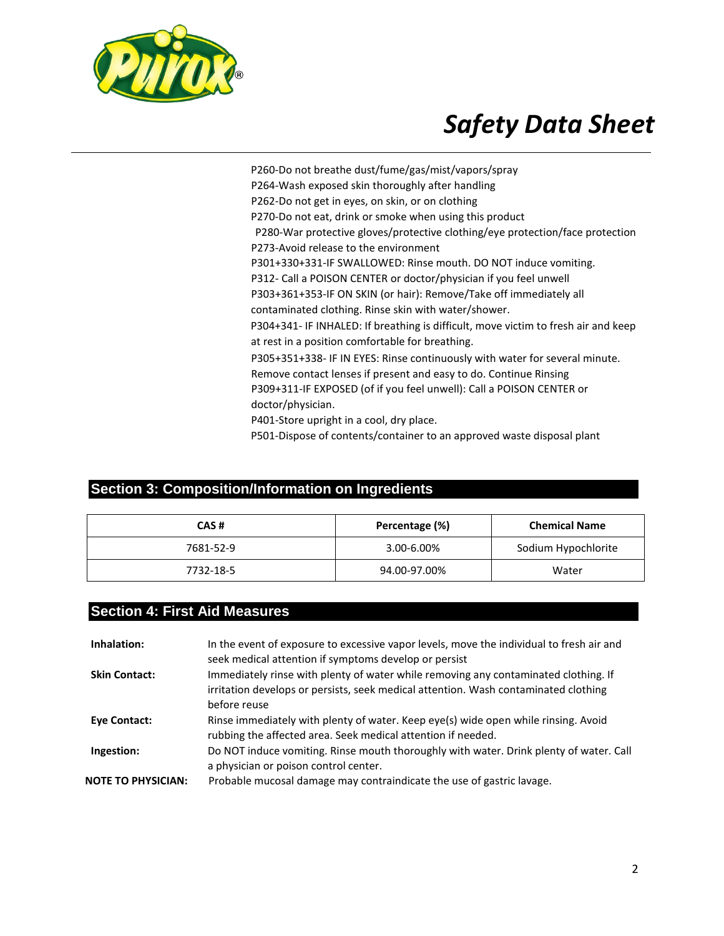

P260-Do not breathe dust/fume/gas/mist/vapors/spray P264-Wash exposed skin thoroughly after handling P262-Do not get in eyes, on skin, or on clothing P270-Do not eat, drink or smoke when using this product P280-War protective gloves/protective clothing/eye protection/face protection P273-Avoid release to the environment P301+330+331-IF SWALLOWED: Rinse mouth. DO NOT induce vomiting. P312- Call a POISON CENTER or doctor/physician if you feel unwell P303+361+353-IF ON SKIN (or hair): Remove/Take off immediately all contaminated clothing. Rinse skin with water/shower. P304+341- IF INHALED: If breathing is difficult, move victim to fresh air and keep at rest in a position comfortable for breathing. P305+351+338- IF IN EYES: Rinse continuously with water for several minute. Remove contact lenses if present and easy to do. Continue Rinsing P309+311-IF EXPOSED (of if you feel unwell): Call a POISON CENTER or doctor/physician. P401-Store upright in a cool, dry place. P501-Dispose of contents/container to an approved waste disposal plant

### **Section 3: Composition/Information on Ingredients**

| CAS#      | Percentage (%) | <b>Chemical Name</b> |
|-----------|----------------|----------------------|
| 7681-52-9 | 3.00-6.00%     | Sodium Hypochlorite  |
| 7732-18-5 | 94.00-97.00%   | Water                |

### **Section 4: First Aid Measures**

| Inhalation:               | In the event of exposure to excessive vapor levels, move the individual to fresh air and<br>seek medical attention if symptoms develop or persist                                          |
|---------------------------|--------------------------------------------------------------------------------------------------------------------------------------------------------------------------------------------|
| <b>Skin Contact:</b>      | Immediately rinse with plenty of water while removing any contaminated clothing. If<br>irritation develops or persists, seek medical attention. Wash contaminated clothing<br>before reuse |
| <b>Eye Contact:</b>       | Rinse immediately with plenty of water. Keep eye(s) wide open while rinsing. Avoid<br>rubbing the affected area. Seek medical attention if needed.                                         |
| Ingestion:                | Do NOT induce vomiting. Rinse mouth thoroughly with water. Drink plenty of water. Call<br>a physician or poison control center.                                                            |
| <b>NOTE TO PHYSICIAN:</b> | Probable mucosal damage may contraindicate the use of gastric lavage.                                                                                                                      |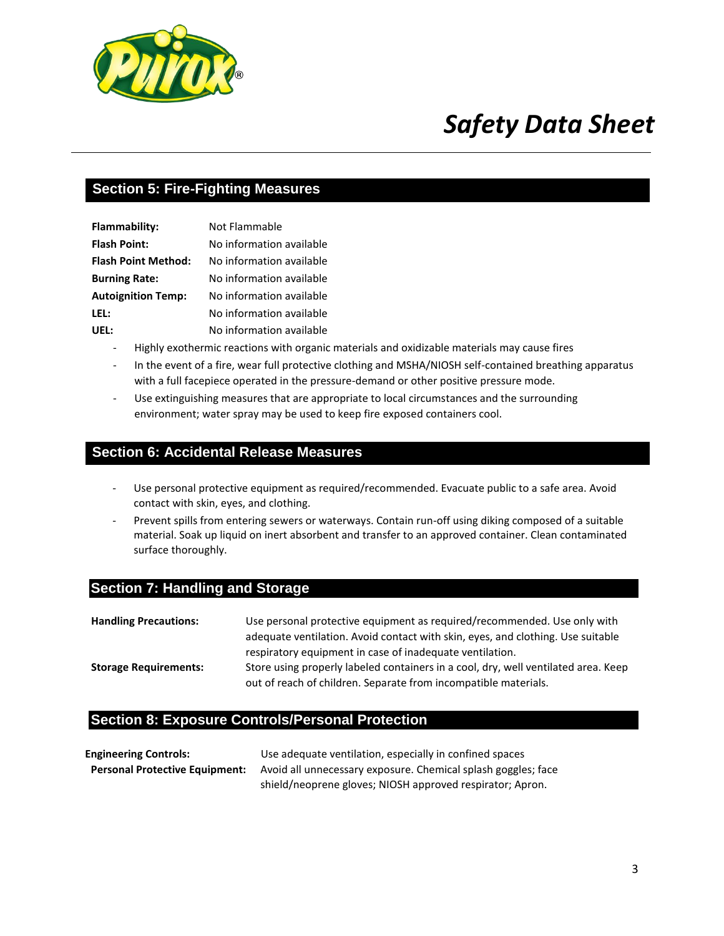

### **Section 5: Fire-Fighting Measures**

| Flammability:              | Not Flammable            |
|----------------------------|--------------------------|
| <b>Flash Point:</b>        | No information available |
| <b>Flash Point Method:</b> | No information available |
| <b>Burning Rate:</b>       | No information available |
| <b>Autoignition Temp:</b>  | No information available |
| LEL:                       | No information available |
| UEL:                       | No information available |

- Highly exothermic reactions with organic materials and oxidizable materials may cause fires
- In the event of a fire, wear full protective clothing and MSHA/NIOSH self-contained breathing apparatus with a full facepiece operated in the pressure-demand or other positive pressure mode.
- Use extinguishing measures that are appropriate to local circumstances and the surrounding environment; water spray may be used to keep fire exposed containers cool.

#### **Section 6: Accidental Release Measures**

- Use personal protective equipment as required/recommended. Evacuate public to a safe area. Avoid contact with skin, eyes, and clothing.
- Prevent spills from entering sewers or waterways. Contain run-off using diking composed of a suitable material. Soak up liquid on inert absorbent and transfer to an approved container. Clean contaminated surface thoroughly.

#### **Section 7: Handling and Storage**

| <b>Handling Precautions:</b> | Use personal protective equipment as required/recommended. Use only with           |
|------------------------------|------------------------------------------------------------------------------------|
|                              | adequate ventilation. Avoid contact with skin, eyes, and clothing. Use suitable    |
|                              | respiratory equipment in case of inadequate ventilation.                           |
| <b>Storage Requirements:</b> | Store using properly labeled containers in a cool, dry, well ventilated area. Keep |
|                              | out of reach of children. Separate from incompatible materials.                    |

#### **Section 8: Exposure Controls/Personal Protection**

| <b>Engineering Controls:</b>          | Use adequate ventilation, especially in confined spaces       |
|---------------------------------------|---------------------------------------------------------------|
| <b>Personal Protective Equipment:</b> | Avoid all unnecessary exposure. Chemical splash goggles; face |
|                                       | shield/neoprene gloves; NIOSH approved respirator; Apron.     |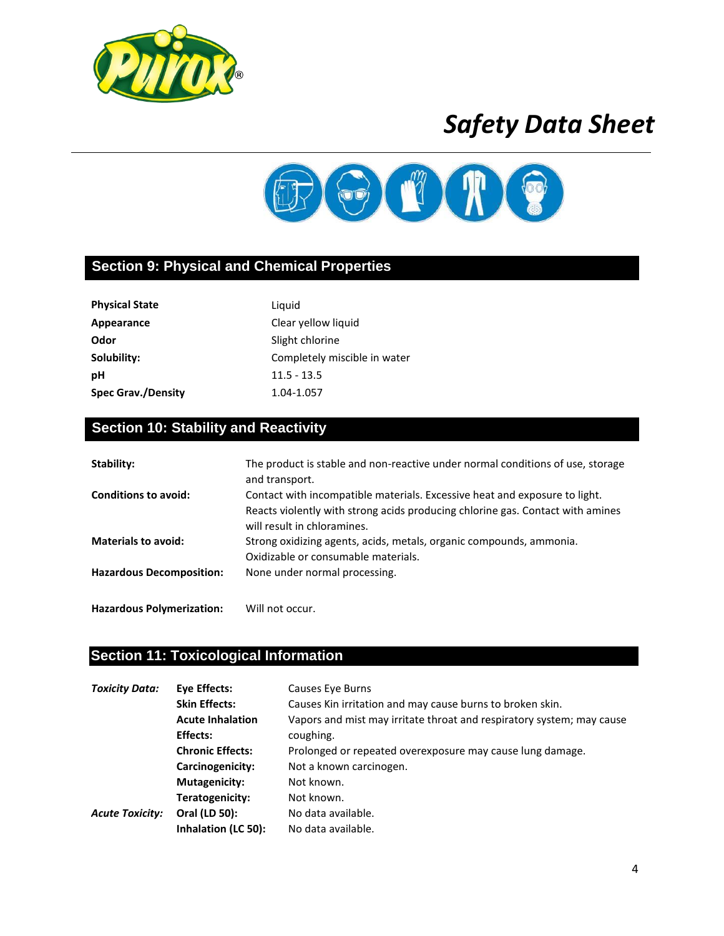



### **Section 9: Physical and Chemical Properties**

| <b>Physical State</b>     | Liguid                       |
|---------------------------|------------------------------|
| Appearance                | Clear yellow liquid          |
| Odor                      | Slight chlorine              |
| Solubility:               | Completely miscible in water |
| рH                        | $11.5 - 13.5$                |
| <b>Spec Grav./Density</b> | 1.04-1.057                   |

### **Section 10: Stability and Reactivity**

| Stability:                      | The product is stable and non-reactive under normal conditions of use, storage<br>and transport.                                                             |
|---------------------------------|--------------------------------------------------------------------------------------------------------------------------------------------------------------|
| <b>Conditions to avoid:</b>     | Contact with incompatible materials. Excessive heat and exposure to light.<br>Reacts violently with strong acids producing chlorine gas. Contact with amines |
|                                 | will result in chloramines.                                                                                                                                  |
| <b>Materials to avoid:</b>      | Strong oxidizing agents, acids, metals, organic compounds, ammonia.<br>Oxidizable or consumable materials.                                                   |
| <b>Hazardous Decomposition:</b> | None under normal processing.                                                                                                                                |

### **Section 11: Toxicological Information**

**Hazardous Polymerization:** Will not occur.

| <b>Toxicity Data:</b><br>Eye Effects:<br><b>Skin Effects:</b> |                         | Causes Eye Burns                                                      |
|---------------------------------------------------------------|-------------------------|-----------------------------------------------------------------------|
|                                                               |                         | Causes Kin irritation and may cause burns to broken skin.             |
|                                                               | <b>Acute Inhalation</b> | Vapors and mist may irritate throat and respiratory system; may cause |
|                                                               | Effects:                | coughing.                                                             |
|                                                               | <b>Chronic Effects:</b> | Prolonged or repeated overexposure may cause lung damage.             |
|                                                               | Carcinogenicity:        | Not a known carcinogen.                                               |
|                                                               | Mutagenicity:           | Not known.                                                            |
|                                                               | Teratogenicity:         | Not known.                                                            |
| <b>Acute Toxicity:</b>                                        | Oral (LD 50):           | No data available.                                                    |
|                                                               | Inhalation (LC 50):     | No data available.                                                    |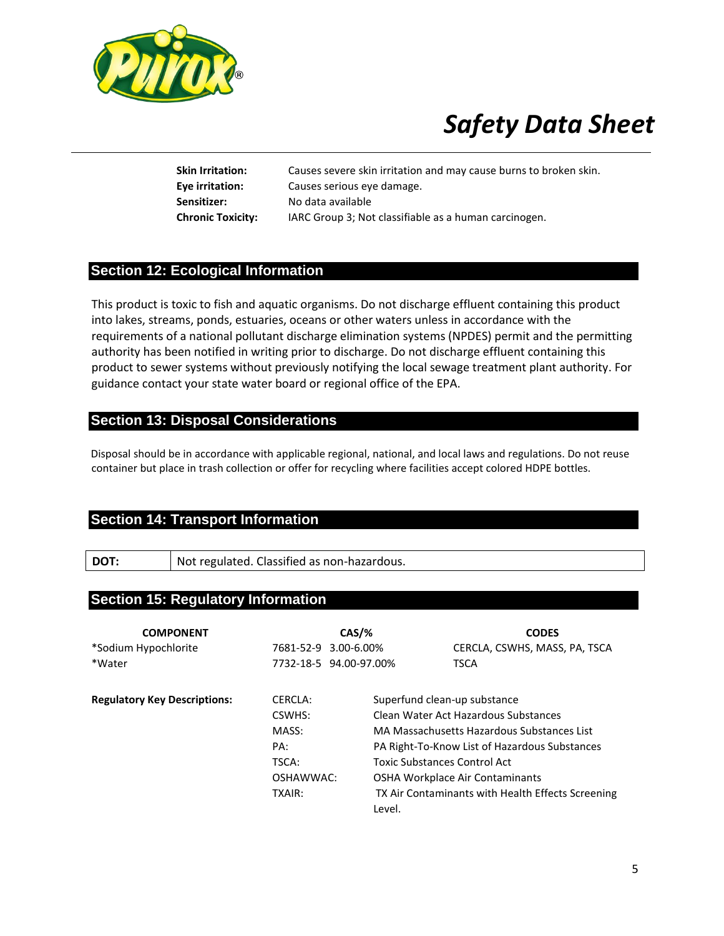

**Skin Irritation:** Causes severe skin irritation and may cause burns to broken skin. **Eye irritation:** Causes serious eye damage. **Sensitizer:** No data available **Chronic Toxicity:** IARC Group 3; Not classifiable as a human carcinogen.

### **Section 12: Ecological Information**

This product is toxic to fish and aquatic organisms. Do not discharge effluent containing this product into lakes, streams, ponds, estuaries, oceans or other waters unless in accordance with the requirements of a national pollutant discharge elimination systems (NPDES) permit and the permitting authority has been notified in writing prior to discharge. Do not discharge effluent containing this product to sewer systems without previously notifying the local sewage treatment plant authority. For guidance contact your state water board or regional office of the EPA.

### **Section 13: Disposal Considerations**

Disposal should be in accordance with applicable regional, national, and local laws and regulations. Do not reuse container but place in trash collection or offer for recycling where facilities accept colored HDPE bottles.

### **Section 14: Transport Information**

**DOT:** Not regulated. Classified as non-hazardous.

### **Section 15: Regulatory Information**

| <b>COMPONENT</b>                    | $CAS/$ %               |                                     | <b>CODES</b>                                      |
|-------------------------------------|------------------------|-------------------------------------|---------------------------------------------------|
| *Sodium Hypochlorite                | 7681-52-9 3.00-6.00%   |                                     | CERCLA, CSWHS, MASS, PA, TSCA                     |
| *Water                              | 7732-18-5 94.00-97.00% |                                     | <b>TSCA</b>                                       |
|                                     |                        |                                     |                                                   |
| <b>Regulatory Key Descriptions:</b> | CERCLA:                | Superfund clean-up substance        |                                                   |
|                                     | CSWHS:                 |                                     | Clean Water Act Hazardous Substances              |
|                                     | MASS:                  |                                     | MA Massachusetts Hazardous Substances List        |
|                                     | PA:                    |                                     | PA Right-To-Know List of Hazardous Substances     |
|                                     | TSCA:                  | <b>Toxic Substances Control Act</b> |                                                   |
|                                     | OSHAWWAC:              |                                     | OSHA Workplace Air Contaminants                   |
|                                     | TXAIR:                 |                                     | TX Air Contaminants with Health Effects Screening |
|                                     |                        | Level.                              |                                                   |